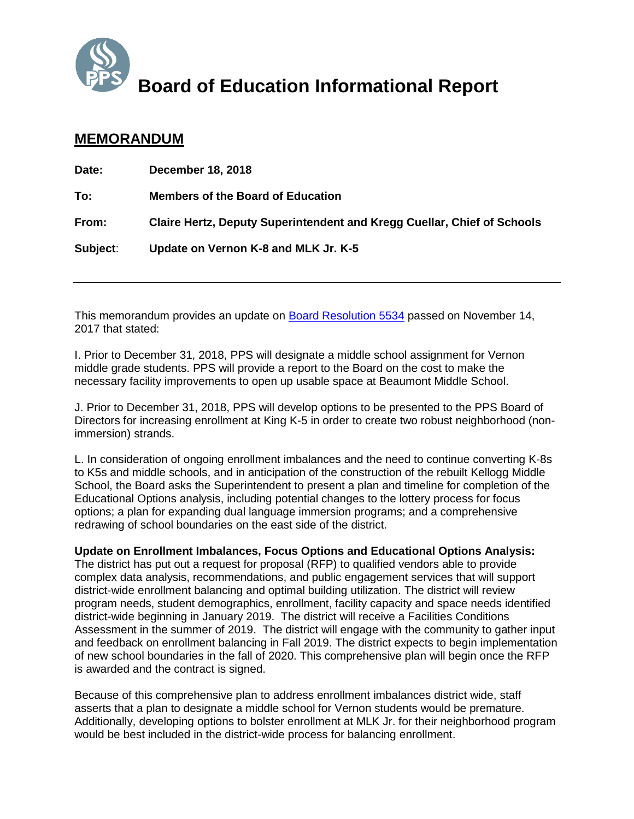

# **Board of Education Informational Report**

## **MEMORANDUM**

| Date:    | <b>December 18, 2018</b>                                                       |
|----------|--------------------------------------------------------------------------------|
| To:      | <b>Members of the Board of Education</b>                                       |
| From:    | <b>Claire Hertz, Deputy Superintendent and Kregg Cuellar, Chief of Schools</b> |
| Subject: | Update on Vernon K-8 and MLK Jr. K-5                                           |

This memorandum provides an update on [Board Resolution 5534](https://www.pps.net/cms/lib/OR01913224/Centricity/Domain/219/FINAL%20ROSEWAY%20HEIGHTS%20RESO.pdf) passed on November 14, 2017 that stated:

I. Prior to December 31, 2018, PPS will designate a middle school assignment for Vernon middle grade students. PPS will provide a report to the Board on the cost to make the necessary facility improvements to open up usable space at Beaumont Middle School.

J. Prior to December 31, 2018, PPS will develop options to be presented to the PPS Board of Directors for increasing enrollment at King K-5 in order to create two robust neighborhood (nonimmersion) strands.

L. In consideration of ongoing enrollment imbalances and the need to continue converting K-8s to K5s and middle schools, and in anticipation of the construction of the rebuilt Kellogg Middle School, the Board asks the Superintendent to present a plan and timeline for completion of the Educational Options analysis, including potential changes to the lottery process for focus options; a plan for expanding dual language immersion programs; and a comprehensive redrawing of school boundaries on the east side of the district.

#### **Update on Enrollment Imbalances, Focus Options and Educational Options Analysis:**

The district has put out a request for proposal (RFP) to qualified vendors able to provide complex data analysis, recommendations, and public engagement services that will support district-wide enrollment balancing and optimal building utilization. The district will review program needs, student demographics, enrollment, facility capacity and space needs identified district-wide beginning in January 2019. The district will receive a Facilities Conditions Assessment in the summer of 2019. The district will engage with the community to gather input and feedback on enrollment balancing in Fall 2019. The district expects to begin implementation of new school boundaries in the fall of 2020. This comprehensive plan will begin once the RFP is awarded and the contract is signed.

Because of this comprehensive plan to address enrollment imbalances district wide, staff asserts that a plan to designate a middle school for Vernon students would be premature. Additionally, developing options to bolster enrollment at MLK Jr. for their neighborhood program would be best included in the district-wide process for balancing enrollment.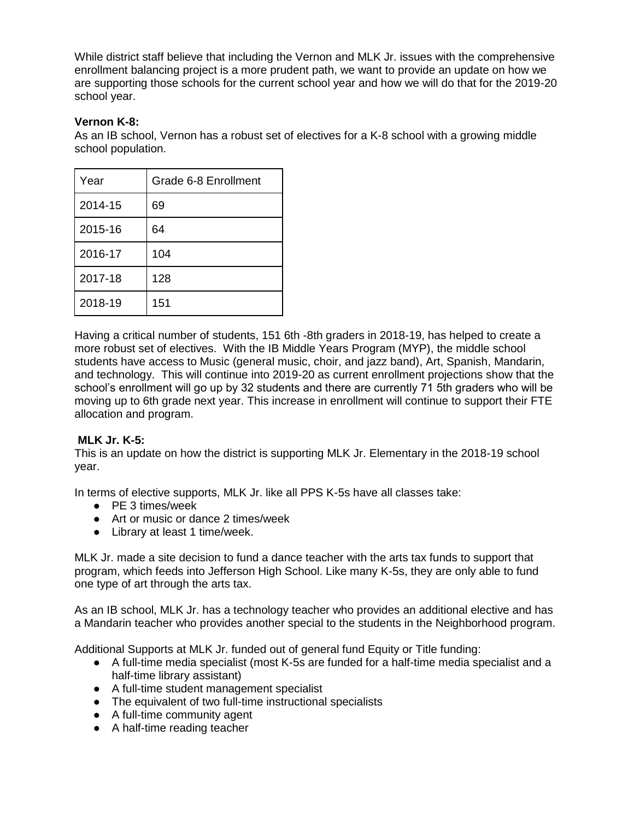While district staff believe that including the Vernon and MLK Jr. issues with the comprehensive enrollment balancing project is a more prudent path, we want to provide an update on how we are supporting those schools for the current school year and how we will do that for the 2019-20 school year.

#### **Vernon K-8:**

As an IB school, Vernon has a robust set of electives for a K-8 school with a growing middle school population.

| Year    | Grade 6-8 Enrollment |  |  |
|---------|----------------------|--|--|
| 2014-15 | 69                   |  |  |
| 2015-16 | 64                   |  |  |
| 2016-17 | 104                  |  |  |
| 2017-18 | 128                  |  |  |
| 2018-19 | 151                  |  |  |

Having a critical number of students, 151 6th -8th graders in 2018-19, has helped to create a more robust set of electives. With the IB Middle Years Program (MYP), the middle school students have access to Music (general music, choir, and jazz band), Art, Spanish, Mandarin, and technology. This will continue into 2019-20 as current enrollment projections show that the school's enrollment will go up by 32 students and there are currently 71 5th graders who will be moving up to 6th grade next year. This increase in enrollment will continue to support their FTE allocation and program.

### **MLK Jr. K-5:**

This is an update on how the district is supporting MLK Jr. Elementary in the 2018-19 school year.

In terms of elective supports, MLK Jr. like all PPS K-5s have all classes take:

- PE 3 times/week
- Art or music or dance 2 times/week
- Library at least 1 time/week.

MLK Jr. made a site decision to fund a dance teacher with the arts tax funds to support that program, which feeds into Jefferson High School. Like many K-5s, they are only able to fund one type of art through the arts tax.

As an IB school, MLK Jr. has a technology teacher who provides an additional elective and has a Mandarin teacher who provides another special to the students in the Neighborhood program.

Additional Supports at MLK Jr. funded out of general fund Equity or Title funding:

- A full-time media specialist (most K-5s are funded for a half-time media specialist and a half-time library assistant)
- A full-time student management specialist
- The equivalent of two full-time instructional specialists
- A full-time community agent
- A half-time reading teacher